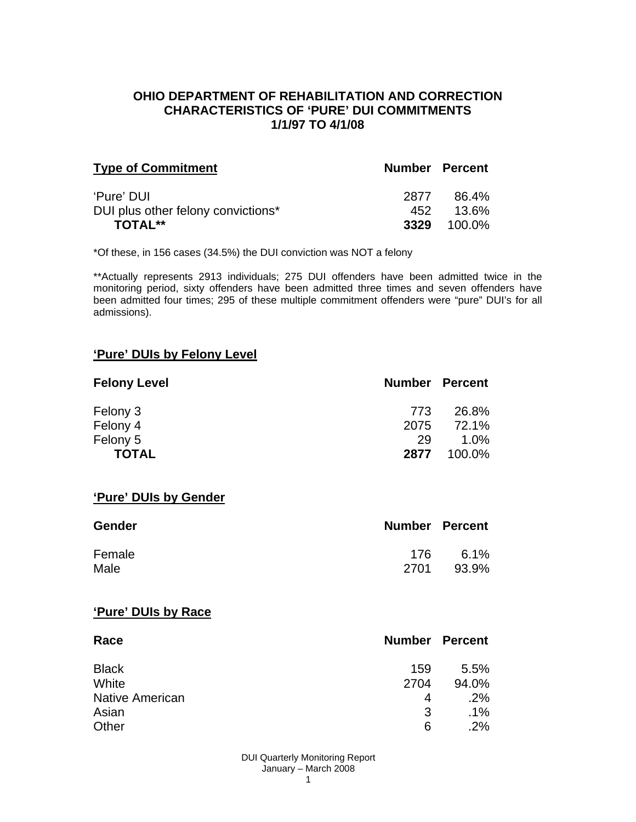### **OHIO DEPARTMENT OF REHABILITATION AND CORRECTION CHARACTERISTICS OF 'PURE' DUI COMMITMENTS 1/1/97 TO 4/1/08**

| <b>Type of Commitment</b>          |      | <b>Number Percent</b> |
|------------------------------------|------|-----------------------|
| 'Pure' DUI                         | 2877 | 86.4%                 |
| DUI plus other felony convictions* | 452  | 13.6%                 |
| <b>TOTAL**</b>                     | 3329 | $100.0\%$             |

\*Of these, in 156 cases (34.5%) the DUI conviction was NOT a felony

\*\*Actually represents 2913 individuals; 275 DUI offenders have been admitted twice in the monitoring period, sixty offenders have been admitted three times and seven offenders have been admitted four times; 295 of these multiple commitment offenders were "pure" DUI's for all admissions).

#### **'Pure' DUIs by Felony Level**

| <b>Felony Level</b> | <b>Number Percent</b> |         |
|---------------------|-----------------------|---------|
| Felony 3            | 773                   | 26.8%   |
| Felony 4            | 2075                  | 72.1%   |
| Felony 5            | 29                    | $1.0\%$ |
| <b>TOTAL</b>        | 2877                  | 100.0%  |

#### **'Pure' DUIs by Gender**

| <b>Gender</b> | <b>Number Percent</b> |       |
|---------------|-----------------------|-------|
| Female        | 176                   | 6.1%  |
| Male          | 2701                  | 93.9% |

#### **'Pure' DUIs by Race**

| Race                   | <b>Number Percent</b> |         |
|------------------------|-----------------------|---------|
| <b>Black</b>           | 159                   | $5.5\%$ |
| White                  | 2704                  | 94.0%   |
| <b>Native American</b> | 4                     | $.2\%$  |
| Asian                  | 3                     | .1%     |
| Other                  | 6                     | $.2\%$  |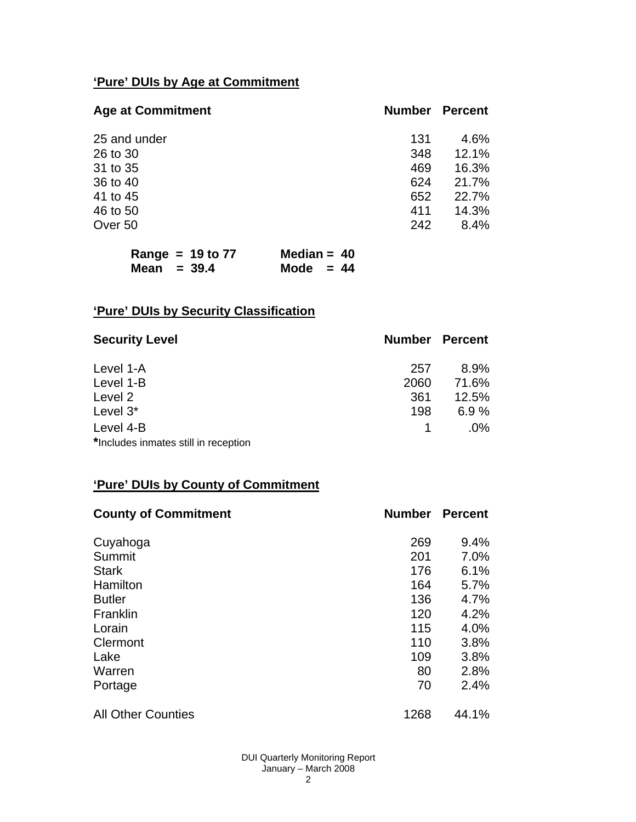# **'Pure' DUIs by Age at Commitment**

| <b>Age at Commitment</b> | <b>Number</b> | <b>Percent</b> |
|--------------------------|---------------|----------------|
| 25 and under             | 131           | 4.6%           |
| 26 to 30                 | 348           | 12.1%          |
| 31 to 35                 | 469           | 16.3%          |
| 36 to 40                 | 624           | 21.7%          |
| 41 to 45                 | 652           | 22.7%          |
| 46 to 50                 | 411           | 14.3%          |
| Over 50                  | 242           | 8.4%           |

| Range = $19$ to 77 | Median = $40$ |
|--------------------|---------------|
| Mean $=$ 39.4      | Mode $= 44$   |

# **'Pure' DUIs by Security Classification**

| <b>Security Level</b>                | <b>Number Percent</b> |         |
|--------------------------------------|-----------------------|---------|
| Level 1-A                            | 257                   | $8.9\%$ |
| Level 1-B                            | 2060                  | 71.6%   |
| Level 2                              | 361                   | 12.5%   |
| Level 3*                             | 198                   | 6.9%    |
| Level 4-B                            |                       | $.0\%$  |
| *Includes inmates still in reception |                       |         |

### **'Pure' DUIs by County of Commitment**

| <b>County of Commitment</b> | <b>Number</b> | <b>Percent</b> |
|-----------------------------|---------------|----------------|
| Cuyahoga                    | 269           | 9.4%           |
| Summit                      | 201           | 7.0%           |
| <b>Stark</b>                | 176           | 6.1%           |
| Hamilton                    | 164           | 5.7%           |
| <b>Butler</b>               | 136           | 4.7%           |
| Franklin                    | 120           | 4.2%           |
| Lorain                      | 115           | 4.0%           |
| Clermont                    | 110           | 3.8%           |
| Lake                        | 109           | 3.8%           |
| Warren                      | 80            | 2.8%           |
| Portage                     | 70            | 2.4%           |
| <b>All Other Counties</b>   | 1268          | 44.1%          |

DUI Quarterly Monitoring Report January – March 2008 2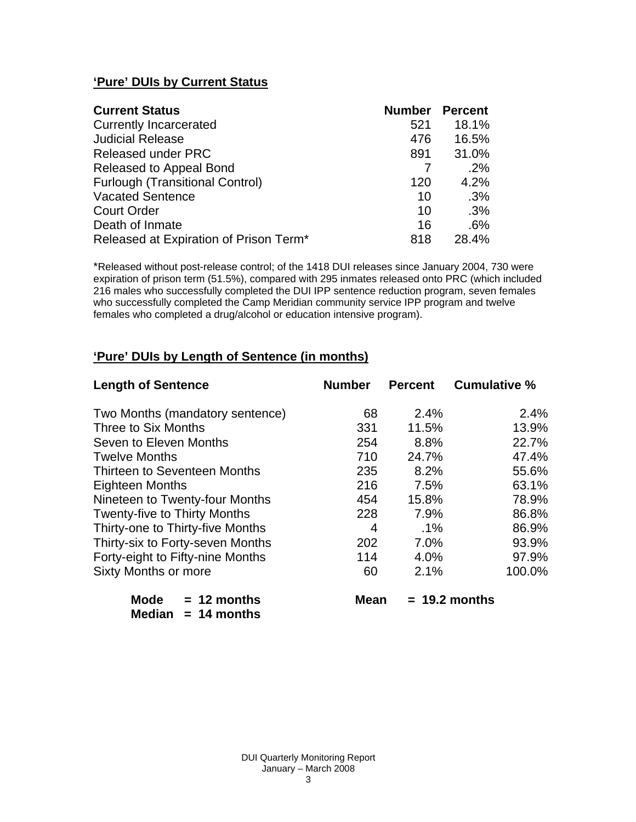# **'Pure' DUIs by Current Status**

| <b>Current Status</b>                  | <b>Number</b> | <b>Percent</b> |
|----------------------------------------|---------------|----------------|
| <b>Currently Incarcerated</b>          | 521           | 18.1%          |
| <b>Judicial Release</b>                | 476           | 16.5%          |
| <b>Released under PRC</b>              | 891           | 31.0%          |
| Released to Appeal Bond                |               | .2%            |
| <b>Furlough (Transitional Control)</b> | 120           | 4.2%           |
| <b>Vacated Sentence</b>                | 10            | .3%            |
| <b>Court Order</b>                     | 10            | .3%            |
| Death of Inmate                        | 16            | .6%            |
| Released at Expiration of Prison Term* | 818           | 28.4%          |

\*Released without post-release control; of the 1418 DUI releases since January 2004, 730 were expiration of prison term (51.5%), compared with 295 inmates released onto PRC (which included 216 males who successfully completed the DUI IPP sentence reduction program, seven females who successfully completed the Camp Meridian community service IPP program and twelve females who completed a drug/alcohol or education intensive program).

# **'Pure' DUIs by Length of Sentence (in months)**

| <b>Length of Sentence</b>           | <b>Number</b> | <b>Percent</b> | <b>Cumulative %</b> |
|-------------------------------------|---------------|----------------|---------------------|
| Two Months (mandatory sentence)     | 68            | 2.4%           | 2.4%                |
| Three to Six Months                 | 331           | 11.5%          | 13.9%               |
| Seven to Eleven Months              | 254           | 8.8%           | 22.7%               |
| <b>Twelve Months</b>                | 710           | 24.7%          | 47.4%               |
| Thirteen to Seventeen Months        | 235           | 8.2%           | 55.6%               |
| <b>Eighteen Months</b>              | 216           | 7.5%           | 63.1%               |
| Nineteen to Twenty-four Months      | 454           | 15.8%          | 78.9%               |
| <b>Twenty-five to Thirty Months</b> | 228           | 7.9%           | 86.8%               |
| Thirty-one to Thirty-five Months    | 4             | $.1\%$         | 86.9%               |
| Thirty-six to Forty-seven Months    | 202           | 7.0%           | 93.9%               |
| Forty-eight to Fifty-nine Months    | 114           | 4.0%           | 97.9%               |
| Sixty Months or more                | 60            | 2.1%           | 100.0%              |

| Mode   | $= 12$ months |
|--------|---------------|
| Median | $= 14$ months |

 $Mean = 19.2$  months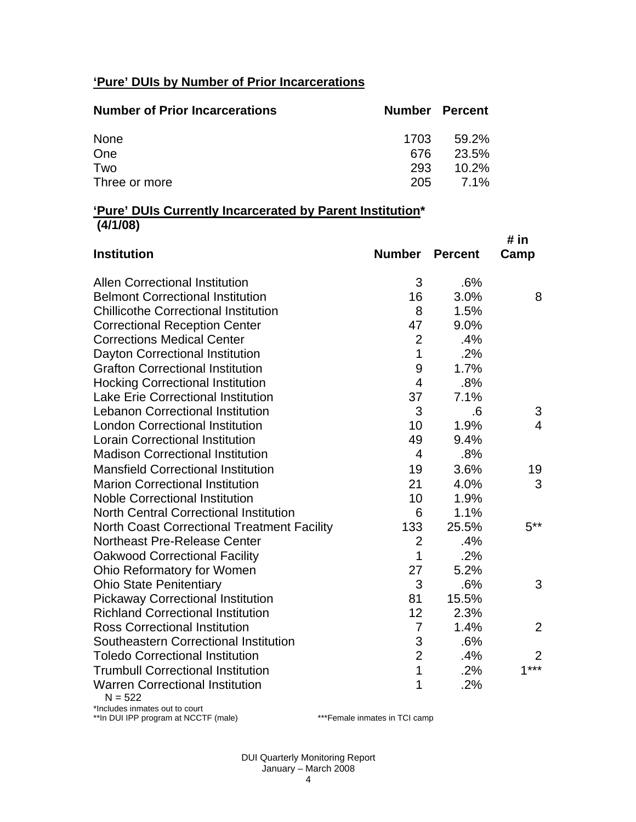# **'Pure' DUIs by Number of Prior Incarcerations**

| <b>Number of Prior Incarcerations</b> | <b>Number Percent</b> |             |
|---------------------------------------|-----------------------|-------------|
| None                                  | 1703                  | 59.2%       |
| One                                   | 676                   | 23.5%       |
| Two                                   | 293                   | $10.2\%$    |
| Three or more                         | 205                   | <b>7.1%</b> |

#### **'Pure' DUIs Currently Incarcerated by Parent Institution\* (4/1/08)**

| <b>Institution</b>                                 | <b>Number Percent</b> |       | # in<br>Camp            |
|----------------------------------------------------|-----------------------|-------|-------------------------|
| <b>Allen Correctional Institution</b>              | 3                     | .6%   |                         |
| <b>Belmont Correctional Institution</b>            | 16                    | 3.0%  | 8                       |
| <b>Chillicothe Correctional Institution</b>        | 8                     | 1.5%  |                         |
| <b>Correctional Reception Center</b>               | 47                    | 9.0%  |                         |
| <b>Corrections Medical Center</b>                  | $\overline{2}$        | .4%   |                         |
| Dayton Correctional Institution                    | 1                     | .2%   |                         |
| <b>Grafton Correctional Institution</b>            | 9                     | 1.7%  |                         |
| <b>Hocking Correctional Institution</b>            | $\overline{4}$        | .8%   |                         |
| <b>Lake Erie Correctional Institution</b>          | 37                    | 7.1%  |                         |
| <b>Lebanon Correctional Institution</b>            | 3                     | .6    | 3                       |
| <b>London Correctional Institution</b>             | 10                    | 1.9%  | $\overline{\mathbf{4}}$ |
| <b>Lorain Correctional Institution</b>             | 49                    | 9.4%  |                         |
| <b>Madison Correctional Institution</b>            | $\overline{4}$        | .8%   |                         |
| <b>Mansfield Correctional Institution</b>          | 19                    | 3.6%  | 19                      |
| <b>Marion Correctional Institution</b>             | 21                    | 4.0%  | 3                       |
| <b>Noble Correctional Institution</b>              | 10                    | 1.9%  |                         |
| <b>North Central Correctional Institution</b>      | 6                     | 1.1%  |                         |
| <b>North Coast Correctional Treatment Facility</b> | 133                   | 25.5% | $5***$                  |
| <b>Northeast Pre-Release Center</b>                | $\overline{2}$        | .4%   |                         |
| <b>Oakwood Correctional Facility</b>               | 1                     | .2%   |                         |
| Ohio Reformatory for Women                         | 27                    | 5.2%  |                         |
| <b>Ohio State Penitentiary</b>                     | 3                     | .6%   | 3                       |
| <b>Pickaway Correctional Institution</b>           | 81                    | 15.5% |                         |
| <b>Richland Correctional Institution</b>           | 12                    | 2.3%  |                         |
| <b>Ross Correctional Institution</b>               | 7                     | 1.4%  | $\overline{2}$          |
| Southeastern Correctional Institution              | 3                     | .6%   |                         |
| <b>Toledo Correctional Institution</b>             | $\overline{2}$        | .4%   | 2                       |
| <b>Trumbull Correctional Institution</b>           | $\overline{1}$        | .2%   | $1***$                  |
| <b>Warren Correctional Institution</b><br>$N = E0$ | 1                     | .2%   |                         |
|                                                    |                       |       |                         |

 $N = 522$ 

\*Includes inmates out to court \*\*In DUI IPP program at NCCTF (male) \*\*\*Female inmates in TCI camp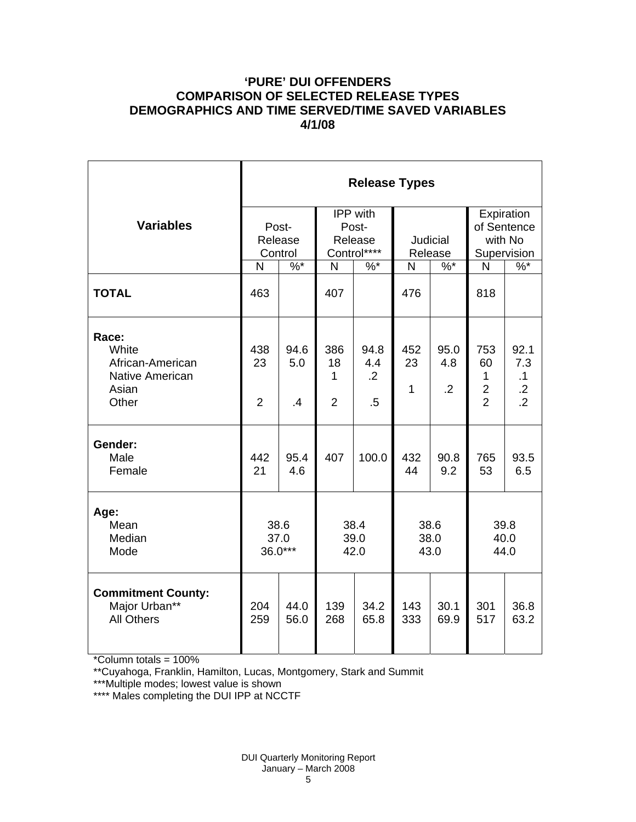### **'PURE' DUI OFFENDERS COMPARISON OF SELECTED RELEASE TYPES DEMOGRAPHICS AND TIME SERVED/TIME SAVED VARIABLES 4/1/08**

|                                                                                | <b>Release Types</b>        |                        |                                             |                                         |                            |                               |                                                               |                                                       |  |
|--------------------------------------------------------------------------------|-----------------------------|------------------------|---------------------------------------------|-----------------------------------------|----------------------------|-------------------------------|---------------------------------------------------------------|-------------------------------------------------------|--|
| <b>Variables</b>                                                               | Post-<br>Release<br>Control |                        | IPP with<br>Post-<br>Release<br>Control**** |                                         | <b>Judicial</b><br>Release |                               | Expiration<br>of Sentence<br>with No<br>Supervision           |                                                       |  |
|                                                                                | N                           | $%$ *                  | N                                           | $%$ *                                   | N                          | $\%$ *                        | N                                                             | $\frac{9}{6}$                                         |  |
| <b>TOTAL</b>                                                                   | 463                         |                        | 407                                         |                                         | 476                        |                               | 818                                                           |                                                       |  |
| Race:<br>White<br>African-American<br><b>Native American</b><br>Asian<br>Other | 438<br>23<br>$\overline{2}$ | 94.6<br>5.0<br>$\cdot$ | 386<br>18<br>1<br>$\overline{2}$            | 94.8<br>4.4<br>$\overline{2}$<br>$.5\,$ | 452<br>23<br>1             | 95.0<br>4.8<br>$\overline{2}$ | 753<br>60<br>$\mathbf{1}$<br>$\overline{c}$<br>$\overline{2}$ | 92.1<br>7.3<br>$\cdot$ 1<br>$\cdot$<br>$\overline{2}$ |  |
| Gender:<br>Male<br>Female                                                      | 442<br>21                   | 95.4<br>4.6            | 407                                         | 100.0                                   | 432<br>44                  | 90.8<br>9.2                   | 765<br>53                                                     | 93.5<br>6.5                                           |  |
| Age:<br>Mean<br>Median<br>Mode                                                 | 38.6<br>37.0<br>36.0***     |                        | 38.4<br>39.0<br>42.0                        |                                         | 38.6<br>38.0<br>43.0       |                               | 39.8<br>40.0<br>44.0                                          |                                                       |  |
| <b>Commitment County:</b><br>Major Urban**<br><b>All Others</b>                | 204<br>259                  | 44.0<br>56.0           | 139<br>268                                  | 34.2<br>65.8                            | 143<br>333                 | 30.1<br>69.9                  | 301<br>517                                                    | 36.8<br>63.2                                          |  |

\*Column totals = 100%

\*\*Cuyahoga, Franklin, Hamilton, Lucas, Montgomery, Stark and Summit

\*\*\*Multiple modes; lowest value is shown

\*\*\*\* Males completing the DUI IPP at NCCTF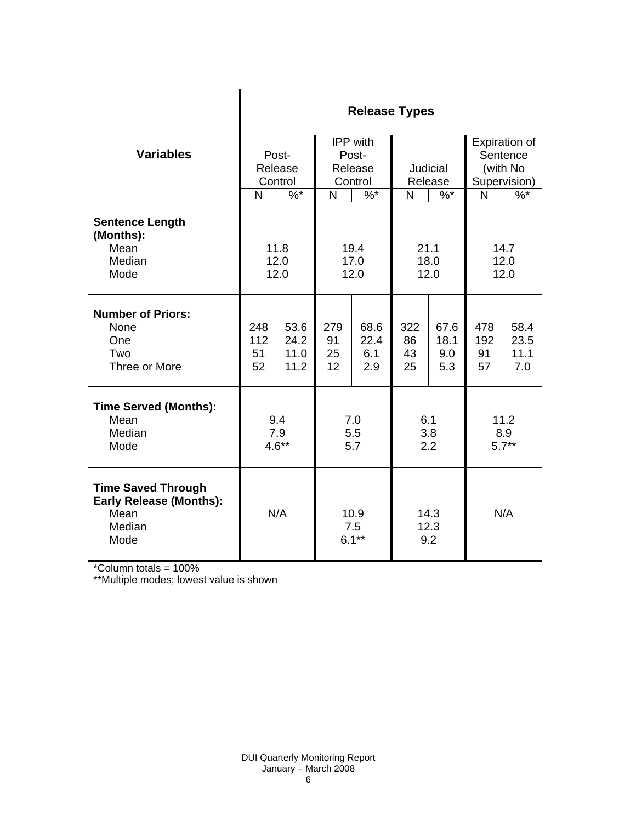|                                                                                       | <b>Release Types</b> |                    |                         |              |                     |              |                |              |  |  |
|---------------------------------------------------------------------------------------|----------------------|--------------------|-------------------------|--------------|---------------------|--------------|----------------|--------------|--|--|
|                                                                                       |                      |                    | IPP with                |              |                     |              | Expiration of  |              |  |  |
| <b>Variables</b>                                                                      |                      | Post-              | Post-                   |              |                     |              | Sentence       |              |  |  |
|                                                                                       |                      | Release<br>Release |                         | Judicial     |                     | (with No     |                |              |  |  |
|                                                                                       |                      | Control            | Control                 |              | Release             |              | Supervision)   |              |  |  |
|                                                                                       | N                    | $\%$ *             | N                       | $\%$ *       | N                   | $\%$ *       | N              | $\%$ *       |  |  |
| <b>Sentence Length</b><br>(Months):                                                   |                      |                    |                         |              |                     |              |                |              |  |  |
| Mean                                                                                  | 11.8                 |                    | 19.4                    |              | 21.1                |              | 14.7           |              |  |  |
| Median<br>Mode                                                                        | 12.0                 |                    | 17.0                    |              | 18.0<br>12.0        |              | 12.0<br>12.0   |              |  |  |
|                                                                                       | 12.0<br>12.0         |                    |                         |              |                     |              |                |              |  |  |
| <b>Number of Priors:</b><br>None<br>One                                               | 248<br>112           | 53.6<br>24.2       | 279<br>91               | 68.6<br>22.4 | 322<br>86           | 67.6<br>18.1 | 478<br>192     | 58.4<br>23.5 |  |  |
| Two                                                                                   | 51                   | 11.0               | 25                      | 6.1          | 43                  | 9.0          | 91             | 11.1         |  |  |
| Three or More                                                                         | 52                   | 11.2               | 12                      | 2.9          | 25                  | 5.3          | 57             | 7.0          |  |  |
| <b>Time Served (Months):</b>                                                          |                      |                    |                         |              |                     |              |                |              |  |  |
| Mean                                                                                  | 9.4                  |                    | 7.0                     |              | 6.1<br>3.8          |              | 11.2           |              |  |  |
| Median<br>Mode                                                                        | 7.9<br>$4.6**$       |                    | 5.5<br>5.7              |              | 2.2                 |              | 8.9<br>$5.7**$ |              |  |  |
|                                                                                       |                      |                    |                         |              |                     |              |                |              |  |  |
| <b>Time Saved Through</b><br><b>Early Release (Months):</b><br>Mean<br>Median<br>Mode | N/A                  |                    | 10.9<br>7.5<br>$6.1***$ |              | 14.3<br>12.3<br>9.2 |              | N/A            |              |  |  |

\*Column totals = 100%

\*\*Multiple modes; lowest value is shown